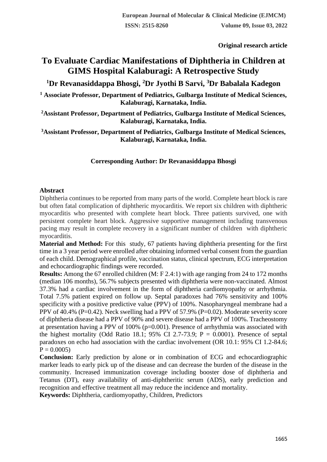**Original research article** 

# **To Evaluate Cardiac Manifestations of Diphtheria in Children at GIMS Hospital Kalaburagi: A Retrospective Study**

**<sup>1</sup>Dr Revanasiddappa Bhosgi, <sup>2</sup>Dr Jyothi B Sarvi, <sup>3</sup>Dr Babalala Kadegon**

**<sup>1</sup> Associate Professor, Department of Pediatrics, Gulbarga Institute of Medical Sciences, Kalaburagi, Karnataka, India.**

**<sup>2</sup>Assistant Professor, Department of Pediatrics, Gulbarga Institute of Medical Sciences, Kalaburagi, Karnataka, India.**

**<sup>3</sup>Assistant Professor, Department of Pediatrics, Gulbarga Institute of Medical Sciences, Kalaburagi, Karnataka, India.**

## **Corresponding Author: Dr Revanasiddappa Bhosgi**

## **Abstract**

Diphtheria continues to be reported from many parts of the world. Complete heart block is rare but often fatal complication of diphtheric myocarditis. We report six children with diphtheric myocarditis who presented with complete heart block. Three patients survived, one with persistent complete heart block. Aggressive supportive management including transvenous pacing may result in complete recovery in a significant number of children with diphtheric myocarditis.

**Material and Method:** For this study, 67 patients having diphtheria presenting for the first time in a 3 year period were enrolled after obtaining informed verbal consent from the guardian of each child. Demographical profile, vaccination status, clinical spectrum, ECG interpretation and echocardiographic findings were recorded.

**Results:** Among the 67 enrolled children (M: F 2.4:1) with age ranging from 24 to 172 months (median 106 months), 56.7% subjects presented with diphtheria were non-vaccinated. Almost 37.3% had a cardiac involvement in the form of diphtheria cardiomyopathy or arrhythmia. Total 7.5% patient expired on follow up. Septal paradoxes had 76% sensitivity and 100% specificity with a positive predictive value (PPV) of 100%. Nasopharyngeal membrane had a PPV of 40.4% (P=0.42). Neck swelling had a PPV of 57.9% (P=0.02). Moderate severity score of diphtheria disease had a PPV of 90% and severe disease had a PPV of 100%. Tracheostomy at presentation having a PPV of 100% (p=0.001). Presence of arrhythmia was associated with the highest mortality (Odd Ratio 18.1; 95% CI 2.7-73.9;  $P = 0.0001$ ). Presence of septal paradoxes on echo had association with the cardiac involvement (OR 10.1: 95% CI 1.2-84.6;  $P = 0.0005$ 

**Conclusion:** Early prediction by alone or in combination of ECG and echocardiographic marker leads to early pick up of the disease and can decrease the burden of the disease in the community. Increased immunization coverage including booster dose of diphtheria and Tetanus (DT), easy availability of anti-diphtheritic serum (ADS), early prediction and recognition and effective treatment all may reduce the incidence and mortality.

**Keywords:** Diphtheria, cardiomyopathy, Children, Predictors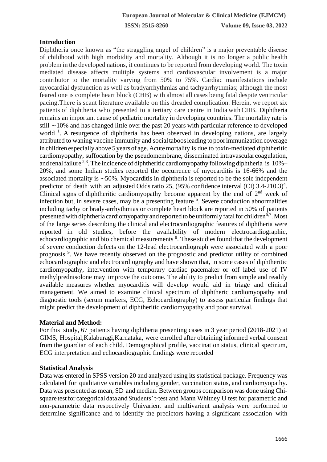## **Introduction**

Diphtheria once known as "the straggling angel of children" is a major preventable disease of childhood with high morbidity and mortality. Although it is no longer a public health problem in the developed nations, it continues to be reported from developing world. The toxin mediated disease affects multiple systems and cardiovascular involvement is a major contributor to the mortality varying from 50% to 75%. Cardiac manifestations include myocardial dysfunction as well as bradyarrhythmias and tachyarrhythmias; although the most feared one is complete heart block (CHB) with almost all cases being fatal despite ventricular pacing.There is scant literature available on this dreaded complication. Herein, we report six patients of diphtheria who presented to a tertiary care centre in India with CHB. Diphtheria remains an important cause of pediatric mortality in developing countries. The mortality rate is still ∼10% and has changed little over the past 20 years with particular reference to developed world <sup>1</sup>. A resurgence of diphtheria has been observed in developing nations, are largely attributed to waning vaccine immunity and socialtaboosleading topoorimmunization coverage in children especially above 5 years of age. Acute mortality is due to toxin-mediated diphtheritic cardiomyopathy, suffocation by the pseudomembrane, disseminated intravascularcoagulation, and renal failure  $2<sup>3</sup>$ . The incidence of diphtheritic cardiomyopathy following diphtheria is 10%– 20%, and some Indian studies reported the occurrence of myocarditis is 16-66% and the associated mortality is ∼50%. Myocarditis in diphtheria is reported to be the sole independent predictor of death with an adjusted Odds ratio 25, (95% confidence interval (CI) 3.4-210.3)<sup>4</sup>. Clinical signs of diphtheritic cardiomyopathy become apparent by the end of  $2<sup>nd</sup>$  week of infection but, in severe cases, may be a presenting feature <sup>5</sup>. Severe conduction abnormalities including tachy or brady-arrhythmias or complete heart block are reported in 50% of patients presented with diphtheria cardiomyopathy and reported to be uniformly fatal for children<sup>6,7</sup>. Most of the large series describing the clinical and electrocardiographic features of diphtheria were reported in old studies, before the availability of modern electrocardiographic, echocardiographic and bio chemical measurements <sup>8</sup>. These studies found that the development of severe conduction defects on the 12-lead electrocardiograph were associated with a poor prognosis<sup>9</sup>. We have recently observed on the prognostic and predictor utility of combined echocardiographic and electrocardiography and have shown that, in some cases of diphtheritic cardiomyopathy, intervention with temporary cardiac pacemaker or off label use of IV methylprednisolone may improve the outcome. The ability to predict from simple and readily available measures whether myocarditis will develop would aid in triage and clinical management. We aimed to examine clinical spectrum of diphtheric cardiomyopathy and diagnostic tools (serum markers, ECG, Echocardiography) to assess particular findings that might predict the development of diphtheritic cardiomyopathy and poor survival.

## **Material and Method:**

For this study, 67 patients having diphtheria presenting cases in 3 year period (2018-2021) at GIMS, Hospital,Kalaburagi,Karnataka, were enrolled after obtaining informed verbal consent from the guardian of each child. Demographical profile, vaccination status, clinical spectrum, ECG interpretation and echocardiographic findings were recorded

#### **Statistical Analysis**

Data was entered in SPSS version 20 and analyzed using its statistical package. Frequency was calculated for qualitative variables including gender, vaccination status, and cardiomyopathy. Data was presented as mean, SD and median. Between groups comparison was done using Chisquare test for categorical data and Students' t-test and Mann Whitney U test for parametric and non-parametric data respectively Univarient and multivarient analysis were performed to determine significance and to identify the predictors having a significant association with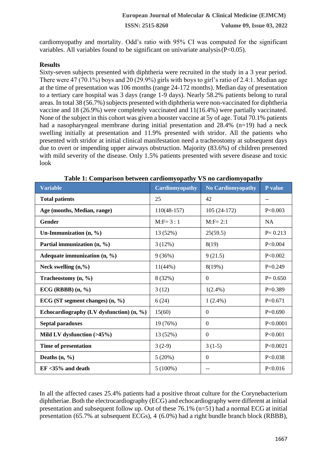cardiomyopathy and mortality. Odd's ratio with 95% CI was computed for the significant variables. All variables found to be significant on univariate analysis (P<0.05).

## **Results**

Sixty-seven subjects presented with diphtheria were recruited in the study in a 3 year period. There were 47 (70.1%) boys and 20 (29.9%) girls with boys to girl's ratio of 2.4:1. Median age at the time of presentation was 106 months (range 24-172 months). Median day of presentation to a tertiary care hospital was 3 days (range 1-9 days). Nearly 58.2% patients belong to rural areas. In total 38 (56.7%) subjects presented with diphtheria were non-vaccinated for diphtheria vaccine and 18 (26.9%) were completely vaccinated and 11(16.4%) were partially vaccinated. None of the subject in this cohort was given a booster vaccine at 5y of age. Total 70.1% patients had a nasopharyngeal membrane during initial presentation and 28.4% (n=19) had a neck swelling initially at presentation and 11.9% presented with stridor. All the patients who presented with stridor at initial clinical manifestation need a tracheostomy at subsequent days due to overt or impending upper airways obstruction. Majority (83.6%) of children presented with mild severity of the disease. Only 1.5% patients presented with severe disease and toxic look

| <b>Variable</b>                            | <b>Cardiomyopathy</b> | <b>No Cardiomyopathy</b> | P value     |
|--------------------------------------------|-----------------------|--------------------------|-------------|
| <b>Total patients</b>                      | 25                    | 42                       | --          |
| Age (months, Median, range)                | $110(48-157)$         | $105(24-172)$            | P<0.003     |
| Gender                                     | $M: F = 3 : 1$        | $M:$ F= 2:1              | <b>NA</b>   |
| Un-Immunization $(n, %)$                   | 13 (52%)              | 25(59.5)                 | $P = 0.213$ |
| Partial immunization (n, %)                | 3(12%)                | 8(19)                    | P<0.004     |
| Adequate immunization $(n, %)$             | 9(36%)                | 9(21.5)                  | P<0.002     |
| Neck swelling $(n, %$                      | $11(44\%)$            | 8(19%)                   | $P=0.249$   |
| Tracheostomy $(n, %)$                      | 8 (32%)               | $\Omega$                 | $P = 0.650$ |
| ECG (RBBB) (n, %)                          | 3(12)                 | $1(2.4\%)$               | $P=0.389$   |
| ECG (ST segment changes) $(n, %)$          | 6(24)                 | $1(2.4\%)$               | $P=0.671$   |
| Echocardiography (LV dysfunction) $(n, %)$ | 15(60)                | $\Omega$                 | $P=0.690$   |
| Septal paradoxes                           | 19 (76%)              | $\Omega$                 | P < 0.0001  |
| Mild LV dysfunction $($ >45%)              | 13 (52%)              | $\mathbf{0}$             | P<0.001     |
| Time of presentation                       | $3(2-9)$              | $3(1-5)$                 | P<0.0021    |
| Deaths $(n, %)$                            | 5(20%)                | $\Omega$                 | P<0.038     |
| $EF < 35\%$ and death                      | $5(100\%)$            | --                       | P < 0.016   |

**Table 1: Comparison between cardiomyopathy VS no cardiomyopathy**

In all the affected cases 25.4% patients had a positive throat culture for the Corynebacterium diphtheriae. Both the electrocardiography (ECG) and echocardiography were different at initial presentation and subsequent follow up. Out of these 76.1% (n=51) had a normal ECG at initial presentation (65.7% at subsequent ECGs), 4 (6.0%) had a right bundle branch block (RBBB),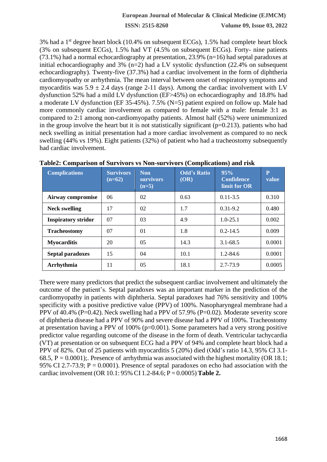**ISSN: 2515-8260 Volume 09, Issue 03, 2022**

3% had a 1<sup>st</sup> degree heart block (10.4% on subsequent ECGs), 1.5% had complete heart block (3% on subsequent ECGs), 1.5% had VT (4.5% on subsequent ECGs). Forty- nine patients (73.1%) had a normal echocardiography at presentation, 23.9% (n=16) had septal paradoxes at initial echocardiography and 3%  $(n=2)$  had a LV systolic dysfunction (22.4% on subsequent echocardiography). Twenty-five (37.3%) had a cardiac involvement in the form of diphtheria cardiomyopathy or arrhythmia. The mean interval between onset of respiratory symptoms and myocarditis was  $5.9 \pm 2.4$  days (range 2-11 days). Among the cardiac involvement with LV dysfunction 52% had a mild LV dysfunction (EF>45%) on echocardiography and 18.8% had a moderate LV dysfunction (EF 35-45%). 7.5% (N=5) patient expired on follow up. Male had more commonly cardiac involvement as compared to female with a male: female 3:1 as compared to 2:1 among non-cardiomyopathy patients. Almost half (52%) were unimmunized in the group involve the heart but it is not statistically significant  $(p=0.213)$ . patients who had neck swelling as initial presentation had a more cardiac involvement as compared to no neck swelling (44% vs 19%). Eight patients (32%) of patient who had a tracheostomy subsequently had cardiac involvement.

| <b>Complications</b>       | <b>Survivors</b><br>$(n=62)$ | <b>Non</b><br><b>survivors</b><br>$(n=5)$ | <b>Odd's Ratio</b><br>(OR) | 95%<br><b>Confidence</b><br>limit for OR | $\mathbf P$<br>value |
|----------------------------|------------------------------|-------------------------------------------|----------------------------|------------------------------------------|----------------------|
| Airway compromise          | 06                           | 02                                        | 0.63                       | $0.11 - 3.5$                             | 0.310                |
| <b>Neck swelling</b>       | 17                           | 02                                        | 1.7                        | $0.31 - 9.2$                             | 0.480                |
| <b>Inspiratory stridor</b> | 07                           | 03                                        | 4.9                        | $1.0 - 25.1$                             | 0.002                |
| <b>Tracheostomy</b>        | 07                           | 01                                        | 1.8                        | $0.2 - 14.5$                             | 0.009                |
| <b>Myocarditis</b>         | 20                           | 0 <sub>5</sub>                            | 14.3                       | $3.1 - 68.5$                             | 0.0001               |
| Septal paradoxes           | 15                           | 04                                        | 10.1                       | $1.2 - 84.6$                             | 0.0001               |
| Arrhythmia                 | 11                           | 0 <sub>5</sub>                            | 18.1                       | 2.7-73.9                                 | 0.0005               |

**Table2: Comparison of Survivors vs Non-survivors (Complications) and risk**

There were many predictors that predict the subsequent cardiac involvement and ultimately the outcome of the patient's. Septal paradoxes was an important marker in the prediction of the cardiomyopathy in patients with diphtheria. Septal paradoxes had 76% sensitivity and 100% specificity with a positive predictive value (PPV) of 100%. Nasopharyngeal membrane had a PPV of 40.4% (P=0.42). Neck swelling had a PPV of 57.9% (P=0.02). Moderate severity score of diphtheria disease had a PPV of 90% and severe disease had a PPV of 100%. Tracheostomy at presentation having a PPV of 100% (p=0.001). Some parameters had a very strong positive predictor value regarding outcome of the disease in the form of death. Ventricular tachycardia (VT) at presentation or on subsequent ECG had a PPV of 94% and complete heart block had a PPV of 82%. Out of 25 patients with myocarditis 5 (20%) died (Odd's ratio 14.3, 95% CI 3.1- 68.5,  $P = 0.0001$ );. Presence of arrhythmia was associated with the highest mortality (OR 18.1; 95% CI 2.7-73.9;  $P = 0.0001$ ). Presence of septal paradoxes on echo had association with the cardiac involvement (OR 10.1: 95% CI 1.2-84.6; P = 0.0005) **Table 2.**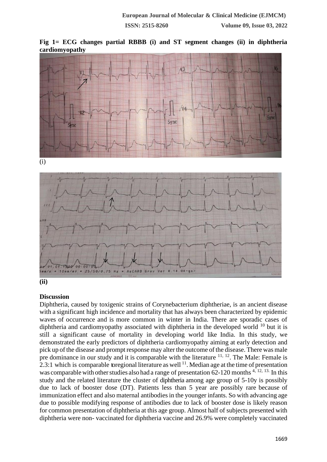







## **Discussion**

Diphtheria, caused by toxigenic strains of Corynebacterium diphtheriae, is an ancient disease with a significant high incidence and mortality that has always been characterized by epidemic waves of occurrence and is more common in winter in India. There are sporadic cases of diphtheria and cardiomyopathy associated with diphtheria in the developed world  $^{10}$  but it is still a significant cause of mortality in developing world like India. In this study, we demonstrated the early predictors of diphtheria cardiomyopathy aiming at early detection and pick up of the disease and prompt response may alter the outcome of the disease. There was male pre dominance in our study and it is comparable with the literature  $11, 12$ . The Male: Female is 2.3:1 which is comparable to regional literature as well  $^{11}$ . Median age at the time of presentation was comparable with other studies also had a range of presentation  $62-120$  months <sup>4, 12, 13.</sup> In this study and the related literature the cluster of diphtheria among age group of 5-10y is possibly due to lack of booster dose (DT). Patients less than 5 year are possibly rare because of immunization effect and also maternal antibodies in the younger infants. So with advancing age due to possible modifying response of antibodies due to lack of booster dose is likely reason for common presentation of diphtheria at this age group. Almost half of subjects presented with diphtheria were non- vaccinated for diphtheria vaccine and 26.9% were completely vaccinated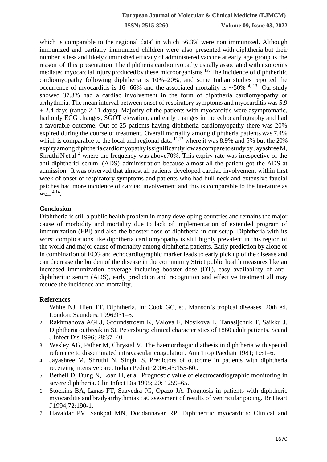**ISSN: 2515-8260 Volume 09, Issue 03, 2022**

which is comparable to the regional data<sup>4</sup> in which  $56.3\%$  were non immunized. Although immunized and partially immunized children were also presented with diphtheria but their number is less and likely diminished efficacy of administered vaccine at early age group is the reason of this presentation The diphtheria cardiomyopathy usually associated with exotoxins mediatedmyocardial injury produced by these microorganisms 13. The incidence of diphtheritic cardiomyopathy following diphtheria is 10%–20%, and some Indian studies reported the occurrence of myocarditis is 16- 66% and the associated mortality is ~50% <sup>4, 13.</sup> Our study showed 37.3% had a cardiac involvement in the form of diphtheria cardiomyopathy or arrhythmia. The mean interval between onset of respiratory symptoms and myocarditis was 5.9  $\pm$  2.4 days (range 2-11 days). Majority of the patients with myocarditis were asymptomatic, had only ECG changes, SGOT elevation, and early changes in the echocardiography and had a favorable outcome. Out of 25 patients having diphtheria cardiomyopathy there was 20% expired during the course of treatment. Overall mortality among diphtheria patients was 7.4% which is comparable to the local and regional data  $11,12$  where it was 8.9% and 5% but the 20% expiryamongdiphtheriacardiomyopathyissignificantlylowascomparetostudybyJayashreeM, Shruthi N et al  $<sup>4</sup>$  where the frequency was above 70%. This expiry rate was irrespective of the</sup> anti-diphtheriti serum (ADS) administration because almost all the patient got the ADS at admission. It was observed that almost all patients developed cardiac involvement within first week of onset of respiratory symptoms and patients who had bull neck and extensive faucial patches had more incidence of cardiac involvement and this is comparable to the literature as well  $4,14$ .

#### **Conclusion**

Diphtheria is still a public health problem in many developing countries and remains the major cause of morbidity and mortality due to lack of implementation of extended program of immunization (EPI) and also the booster dose of diphtheria in our setup. Diphtheria with its worst complications like diphtheria cardiomyopathy is still highly prevalent in this region of the world and major cause of mortality among diphtheria patients. Early prediction by alone or in combination of ECG and echocardiographic marker leads to early pick up of the disease and can decrease the burden of the disease in the community Strict public health measures like an increased immunization coverage including booster dose (DT), easy availability of antidiphtheritic serum (ADS), early prediction and recognition and effective treatment all may reduce the incidence and mortality.

#### **References**

- 1. White NJ, Hien TT. Diphtheria. In: Cook GC, ed. Manson's tropical diseases. 20th ed. London: Saunders, 1996:931–5.
- 2. Rakhmanova AGLJ, Groundstroem K, Valova E, Nosikova E, Tanasijchuk T, Saikku J. Diphtheria outbreak in St. Petersburg: clinical characteristics of 1860 adult patients. Scand J Infect Dis 1996; 28:37–40.
- 3. Wesley AG, Pather M, Chrystal V. The haemorrhagic diathesis in diphtheria with special reference to disseminated intravascular coagulation. Ann Trop Paediatr 1981; 1:51–6.
- 4. Jayashree M, Shruthi N, Singhi S. Predictors of outcome in patients with diphtheria receiving intensive care. Indian Pediatr 2006;43:155-60..
- 5. Bethell D, Dung N, Loan H, et al. Prognostic value of electrocardiographic monitoring in severe diphtheria. Clin Infect Dis 1995; 20: 1259–65.
- 6. Stockins BA, Lanas FT, Saavedra JG, Opazo JA. Prognosis in patients with diphtheric myocarditis and bradyarrhythmias: a0 ssessment of results of ventricular pacing. Br Heart J 1994;72:190-1.
- 7. Havaldar PV, Sankpal MN, Doddannavar RP. Diphtheritic myocarditis: Clinical and